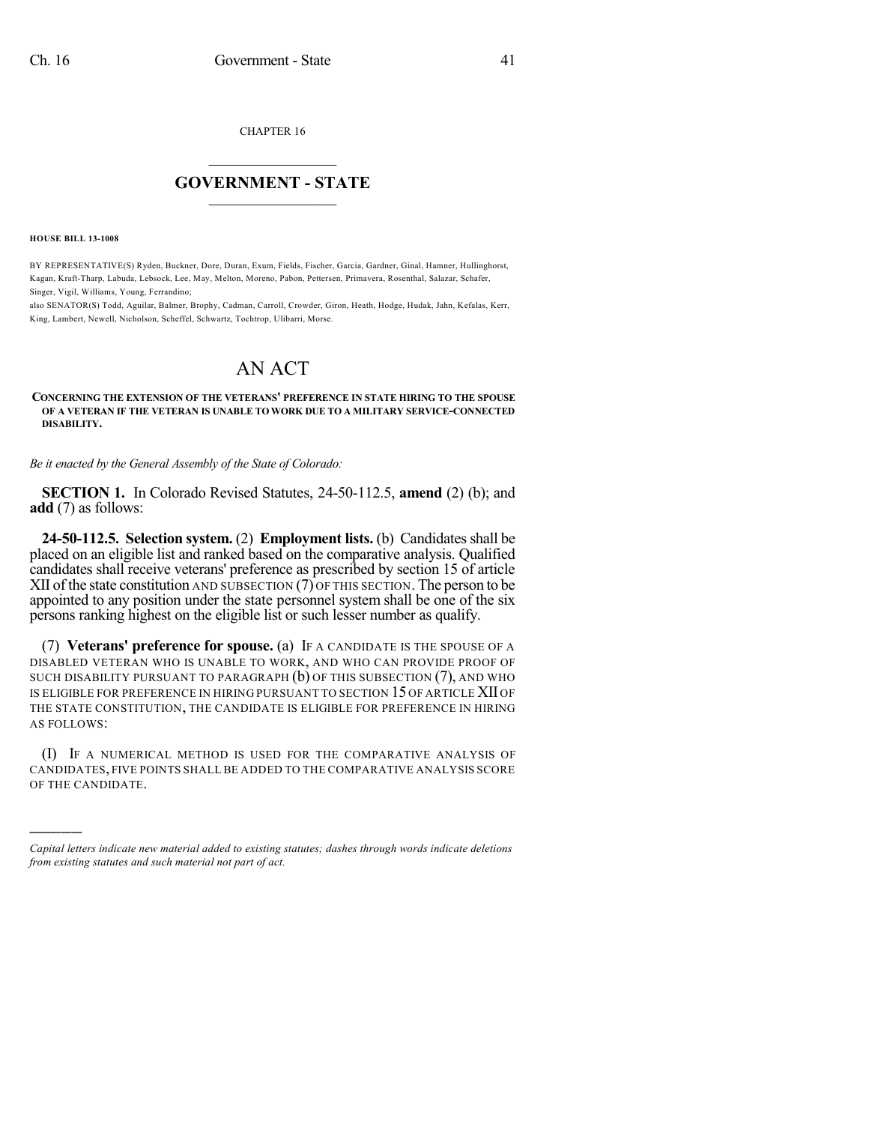CHAPTER 16

## $\overline{\phantom{a}}$  . The set of the set of the set of the set of the set of the set of the set of the set of the set of the set of the set of the set of the set of the set of the set of the set of the set of the set of the set o **GOVERNMENT - STATE**  $\_$

**HOUSE BILL 13-1008**

)))))

BY REPRESENTATIVE(S) Ryden, Buckner, Dore, Duran, Exum, Fields, Fischer, Garcia, Gardner, Ginal, Hamner, Hullinghorst, Kagan, Kraft-Tharp, Labuda, Lebsock, Lee, May, Melton, Moreno, Pabon, Pettersen, Primavera, Rosenthal, Salazar, Schafer, Singer, Vigil, Williams, Young, Ferrandino;

also SENATOR(S) Todd, Aguilar, Balmer, Brophy, Cadman, Carroll, Crowder, Giron, Heath, Hodge, Hudak, Jahn, Kefalas, Kerr, King, Lambert, Newell, Nicholson, Scheffel, Schwartz, Tochtrop, Ulibarri, Morse.

## AN ACT

## **CONCERNING THE EXTENSION OF THE VETERANS' PREFERENCE IN STATE HIRING TO THE SPOUSE OF A VETERAN IF THE VETERAN IS UNABLE TO WORK DUE TO A MILITARY SERVICE-CONNECTED DISABILITY.**

*Be it enacted by the General Assembly of the State of Colorado:*

**SECTION 1.** In Colorado Revised Statutes, 24-50-112.5, **amend** (2) (b); and **add** (7) as follows:

**24-50-112.5.** Selection system. (2) **Employment lists.** (b) Candidates shall be placed on an eligible list and ranked based on the comparative analysis. Qualified candidates shall receive veterans' preference as prescribed by section 15 of article XII of the state constitution AND SUBSECTION  $(7)$  OF THIS SECTION. The person to be appointed to any position under the state personnel system shall be one of the six persons ranking highest on the eligible list or such lesser number as qualify.

(7) **Veterans' preference for spouse.** (a) IF A CANDIDATE IS THE SPOUSE OF A DISABLED VETERAN WHO IS UNABLE TO WORK, AND WHO CAN PROVIDE PROOF OF SUCH DISABILITY PURSUANT TO PARAGRAPH (b) OF THIS SUBSECTION (7), AND WHO IS ELIGIBLE FOR PREFERENCE IN HIRING PURSUANT TO SECTION 15 OF ARTICLE XII OF THE STATE CONSTITUTION, THE CANDIDATE IS ELIGIBLE FOR PREFERENCE IN HIRING AS FOLLOWS:

(I) IF A NUMERICAL METHOD IS USED FOR THE COMPARATIVE ANALYSIS OF CANDIDATES, FIVE POINTS SHALL BE ADDED TO THE COMPARATIVE ANALYSIS SCORE OF THE CANDIDATE.

*Capital letters indicate new material added to existing statutes; dashes through words indicate deletions from existing statutes and such material not part of act.*